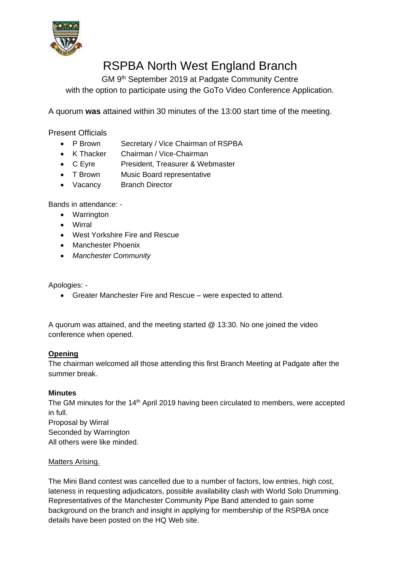

# RSPBA North West England Branch

GM 9<sup>th</sup> September 2019 at Padgate Community Centre with the option to participate using the GoTo Video Conference Application.

A quorum **was** attained within 30 minutes of the 13:00 start time of the meeting.

Present Officials

- P Brown Secretary / Vice Chairman of RSPBA
- K Thacker Chairman / Vice-Chairman
- C Eyre President, Treasurer & Webmaster
- T Brown Music Board representative
- Vacancy Branch Director

Bands in attendance: -

- Warrington
- Wirral
- West Yorkshire Fire and Rescue
- Manchester Phoenix
- *Manchester Community*

Apologies: -

• Greater Manchester Fire and Rescue – were expected to attend.

A quorum was attained, and the meeting started @ 13:30. No one joined the video conference when opened.

#### **Opening**

The chairman welcomed all those attending this first Branch Meeting at Padgate after the summer break.

# **Minutes**

The GM minutes for the 14<sup>th</sup> April 2019 having been circulated to members, were accepted in full. Proposal by Wirral Seconded by Warrington All others were like minded.

#### Matters Arising.

The Mini Band contest was cancelled due to a number of factors, low entries, high cost, lateness in requesting adjudicators, possible availability clash with World Solo Drumming. Representatives of the Manchester Community Pipe Band attended to gain some background on the branch and insight in applying for membership of the RSPBA once details have been posted on the HQ Web site.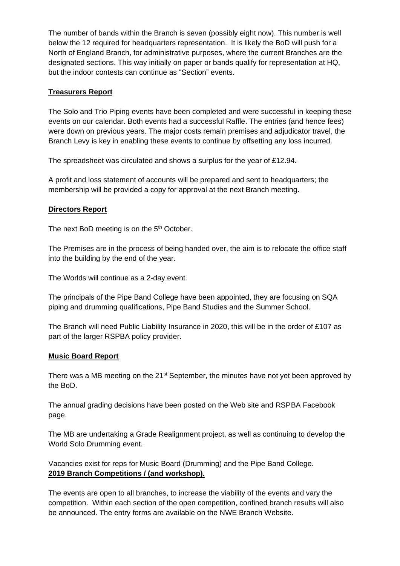The number of bands within the Branch is seven (possibly eight now). This number is well below the 12 required for headquarters representation. It is likely the BoD will push for a North of England Branch, for administrative purposes, where the current Branches are the designated sections. This way initially on paper or bands qualify for representation at HQ, but the indoor contests can continue as "Section" events.

## **Treasurers Report**

The Solo and Trio Piping events have been completed and were successful in keeping these events on our calendar. Both events had a successful Raffle. The entries (and hence fees) were down on previous years. The major costs remain premises and adjudicator travel, the Branch Levy is key in enabling these events to continue by offsetting any loss incurred.

The spreadsheet was circulated and shows a surplus for the year of £12.94.

A profit and loss statement of accounts will be prepared and sent to headquarters; the membership will be provided a copy for approval at the next Branch meeting.

## **Directors Report**

The next BoD meeting is on the  $5<sup>th</sup>$  October.

The Premises are in the process of being handed over, the aim is to relocate the office staff into the building by the end of the year.

The Worlds will continue as a 2-day event.

The principals of the Pipe Band College have been appointed, they are focusing on SQA piping and drumming qualifications, Pipe Band Studies and the Summer School.

The Branch will need Public Liability Insurance in 2020, this will be in the order of £107 as part of the larger RSPBA policy provider.

#### **Music Board Report**

There was a MB meeting on the 21<sup>st</sup> September, the minutes have not yet been approved by the BoD.

The annual grading decisions have been posted on the Web site and RSPBA Facebook page.

The MB are undertaking a Grade Realignment project, as well as continuing to develop the World Solo Drumming event.

Vacancies exist for reps for Music Board (Drumming) and the Pipe Band College. **2019 Branch Competitions / (and workshop).**

The events are open to all branches, to increase the viability of the events and vary the competition. Within each section of the open competition, confined branch results will also be announced. The entry forms are available on the NWE Branch Website.